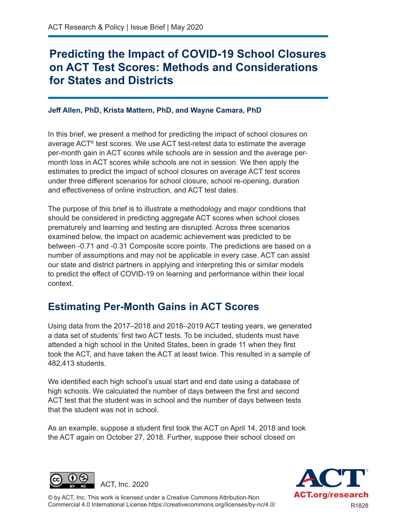# **Predicting the Impact of COVID-19 School Closures on ACT Test Scores: Methods and Considerations for States and Districts**

#### **Jeff Allen, PhD, Krista Mattern, PhD, and Wayne Camara, PhD**

In this brief, we present a method for predicting the impact of school closures on average ACT® test scores. We use ACT test-retest data to estimate the average per-month gain in ACT scores while schools are in session and the average permonth loss in ACT scores while schools are not in session. We then apply the estimates to predict the impact of school closures on average ACT test scores under three different scenarios for school closure, school re-opening, duration and effectiveness of online instruction, and ACT test dates.

The purpose of this brief is to illustrate a methodology and major conditions that should be considered in predicting aggregate ACT scores when school closes prematurely and learning and testing are disrupted. Across three scenarios examined below, the impact on academic achievement was predicted to be between -0.71 and -0.31 Composite score points. The predictions are based on a number of assumptions and may not be applicable in every case. ACT can assist our state and district partners in applying and interpreting this or similar models to predict the effect of COVID-19 on learning and performance within their local context.

## **Estimating Per-Month Gains in ACT Scores**

Using data from the 2017–2018 and 2018–2019 ACT testing years, we generated a data set of students' first two ACT tests. To be included, students must have attended a high school in the United States, been in grade 11 when they first took the ACT, and have taken the ACT at least twice. This resulted in a sample of 482,413 students.

We identified each high school's usual start and end date using a database of high schools. We calculated the number of days between the first and second ACT test that the student was in school and the number of days between tests that the student was not in school.

As an example, suppose a student first took the ACT on April 14, 2018 and took the ACT again on October 27, 2018. Further, suppose their school closed on





© by ACT, Inc. This work is licensed under a Creative Commons Attribution-Non Commercial 4.0 International License.https://creativecommons.org/licenses/by-nc/4.0/ R1828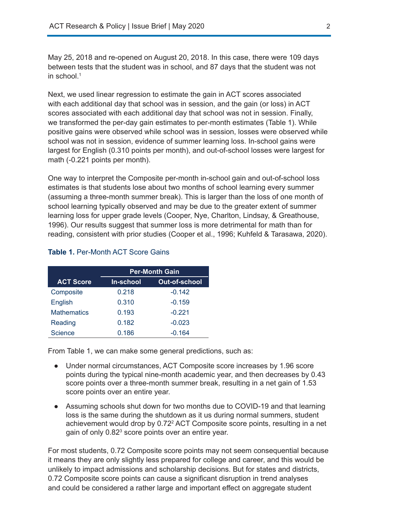May 25, 2018 and re-opened on August 20, 2018. In this case, there were 109 days between tests that the student was in school, and 87 days that the student was not in school. $^{\rm 1}$ 

Next, we used linear regression to estimate the gain in ACT scores associated with each additional day that school was in session, and the gain (or loss) in ACT scores associated with each additional day that school was not in session. Finally, we transformed the per-day gain estimates to per-month estimates (Table 1). While positive gains were observed while school was in session, losses were observed while school was not in session, evidence of summer learning loss. In-school gains were largest for English (0.310 points per month), and out-of-school losses were largest for math (-0.221 points per month).

One way to interpret the Composite per-month in-school gain and out-of-school loss estimates is that students lose about two months of school learning every summer (assuming a three-month summer break). This is larger than the loss of one month of school learning typically observed and may be due to the greater extent of summer learning loss for upper grade levels (Cooper, Nye, Charlton, Lindsay, & Greathouse, 1996). Our results suggest that summer loss is more detrimental for math than for reading, consistent with prior studies (Cooper et al., 1996; Kuhfeld & Tarasawa, 2020).

| <b>Table 1. Per-Month ACT Score Gains</b> |
|-------------------------------------------|
|-------------------------------------------|

|                    | <b>Per-Month Gain</b> |               |
|--------------------|-----------------------|---------------|
| <b>ACT Score</b>   | In-school             | Out-of-school |
| Composite          | 0.218                 | $-0.142$      |
| English            | 0.310                 | $-0.159$      |
| <b>Mathematics</b> | 0.193                 | $-0.221$      |
| Reading            | 0.182                 | $-0.023$      |
| Science            | 0.186                 | $-0.164$      |

From Table 1, we can make some general predictions, such as:

- Under normal circumstances, ACT Composite score increases by 1.96 score points during the typical nine-month academic year, and then decreases by 0.43 score points over a three-month summer break, resulting in a net gain of 1.53 score points over an entire year.
- Assuming schools shut down for two months due to COVID-19 and that learning loss is the same during the shutdown as it us during normal summers, student achievement would drop by 0.72<sup>2</sup> ACT Composite score points, resulting in a net gain of only 0.82 $^3$  score points over an entire year.

For most students, 0.72 Composite score points may not seem consequential because it means they are only slightly less prepared for college and career, and this would be unlikely to impact admissions and scholarship decisions. But for states and districts, 0.72 Composite score points can cause a significant disruption in trend analyses and could be considered a rather large and important effect on aggregate student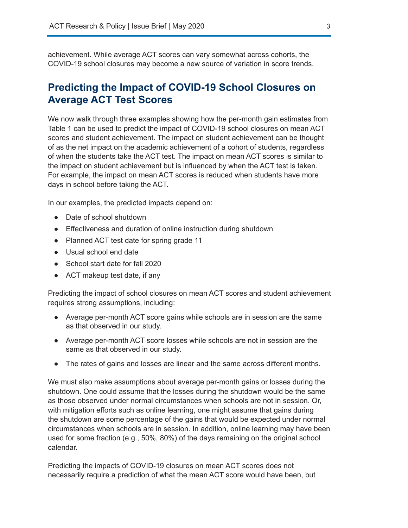achievement. While average ACT scores can vary somewhat across cohorts, the COVID-19 school closures may become a new source of variation in score trends.

## **Predicting the Impact of COVID-19 School Closures on Average ACT Test Scores**

We now walk through three examples showing how the per-month gain estimates from Table 1 can be used to predict the impact of COVID-19 school closures on mean ACT scores and student achievement. The impact on student achievement can be thought of as the net impact on the academic achievement of a cohort of students, regardless of when the students take the ACT test. The impact on mean ACT scores is similar to the impact on student achievement but is influenced by when the ACT test is taken. For example, the impact on mean ACT scores is reduced when students have more days in school before taking the ACT.

In our examples, the predicted impacts depend on:

- Date of school shutdown
- Effectiveness and duration of online instruction during shutdown
- Planned ACT test date for spring grade 11
- Usual school end date
- School start date for fall 2020
- ACT makeup test date, if any

Predicting the impact of school closures on mean ACT scores and student achievement requires strong assumptions, including:

- Average per-month ACT score gains while schools are in session are the same as that observed in our study.
- Average per-month ACT score losses while schools are not in session are the same as that observed in our study.
- The rates of gains and losses are linear and the same across different months.

We must also make assumptions about average per-month gains or losses during the shutdown. One could assume that the losses during the shutdown would be the same as those observed under normal circumstances when schools are not in session. Or, with mitigation efforts such as online learning, one might assume that gains during the shutdown are some percentage of the gains that would be expected under normal circumstances when schools are in session. In addition, online learning may have been used for some fraction (e.g., 50%, 80%) of the days remaining on the original school calendar.

Predicting the impacts of COVID-19 closures on mean ACT scores does not necessarily require a prediction of what the mean ACT score would have been, but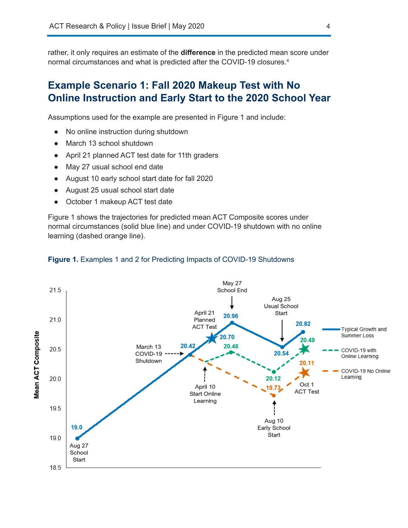rather, it only requires an estimate of the **difference** in the predicted mean score under normal circumstances and what is predicted after the COVID-19 closures.<sup>4</sup>

### **Example Scenario 1: Fall 2020 Makeup Test with No Online Instruction and Early Start to the 2020 School Year**

Assumptions used for the example are presented in Figure 1 and include:

- No online instruction during shutdown
- March 13 school shutdown
- April 21 planned ACT test date for 11th graders
- May 27 usual school end date
- August 10 early school start date for fall 2020
- August 25 usual school start date
- October 1 makeup ACT test date

Figure 1 shows the trajectories for predicted mean ACT Composite scores under normal circumstances (solid blue line) and under COVID-19 shutdown with no online learning (dashed orange line).



#### **Figure 1.** Examples 1 and 2 for Predicting Impacts of COVID-19 Shutdowns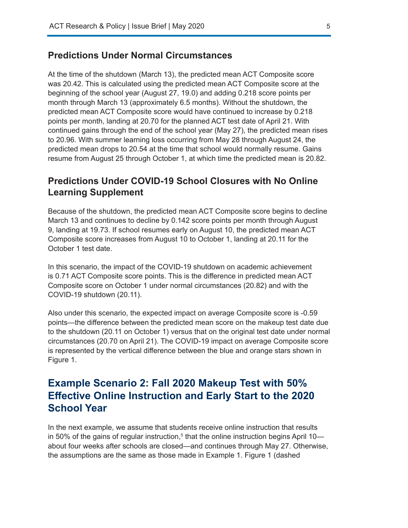#### **Predictions Under Normal Circumstances**

At the time of the shutdown (March 13), the predicted mean ACT Composite score was 20.42. This is calculated using the predicted mean ACT Composite score at the beginning of the school year (August 27, 19.0) and adding 0.218 score points per month through March 13 (approximately 6.5 months). Without the shutdown, the predicted mean ACT Composite score would have continued to increase by 0.218 points per month, landing at 20.70 for the planned ACT test date of April 21. With continued gains through the end of the school year (May 27), the predicted mean rises to 20.96. With summer learning loss occurring from May 28 through August 24, the predicted mean drops to 20.54 at the time that school would normally resume. Gains resume from August 25 through October 1, at which time the predicted mean is 20.82.

#### **Predictions Under COVID-19 School Closures with No Online Learning Supplement**

Because of the shutdown, the predicted mean ACT Composite score begins to decline March 13 and continues to decline by 0.142 score points per month through August 9, landing at 19.73. If school resumes early on August 10, the predicted mean ACT Composite score increases from August 10 to October 1, landing at 20.11 for the October 1 test date.

In this scenario, the impact of the COVID-19 shutdown on academic achievement is 0.71 ACT Composite score points. This is the difference in predicted mean ACT Composite score on October 1 under normal circumstances (20.82) and with the COVID-19 shutdown (20.11).

Also under this scenario, the expected impact on average Composite score is -0.59 points—the difference between the predicted mean score on the makeup test date due to the shutdown (20.11 on October 1) versus that on the original test date under normal circumstances (20.70 on April 21). The COVID-19 impact on average Composite score is represented by the vertical difference between the blue and orange stars shown in Figure 1.

### **Example Scenario 2: Fall 2020 Makeup Test with 50% Effective Online Instruction and Early Start to the 2020 School Year**

In the next example, we assume that students receive online instruction that results in 50% of the gains of regular instruction, $^{\rm 5}$  that the online instruction begins April 10 about four weeks after schools are closed—and continues through May 27. Otherwise, the assumptions are the same as those made in Example 1. Figure 1 (dashed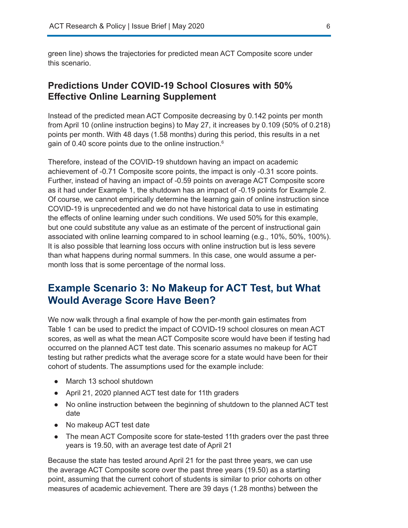green line) shows the trajectories for predicted mean ACT Composite score under this scenario.

#### **Predictions Under COVID-19 School Closures with 50% Effective Online Learning Supplement**

Instead of the predicted mean ACT Composite decreasing by 0.142 points per month from April 10 (online instruction begins) to May 27, it increases by 0.109 (50% of 0.218) points per month. With 48 days (1.58 months) during this period, this results in a net gain of 0.40 score points due to the online instruction. $^{\rm 6}$ 

Therefore, instead of the COVID-19 shutdown having an impact on academic achievement of -0.71 Composite score points, the impact is only -0.31 score points. Further, instead of having an impact of -0.59 points on average ACT Composite score as it had under Example 1, the shutdown has an impact of -0.19 points for Example 2. Of course, we cannot empirically determine the learning gain of online instruction since COVID-19 is unprecedented and we do not have historical data to use in estimating the effects of online learning under such conditions. We used 50% for this example, but one could substitute any value as an estimate of the percent of instructional gain associated with online learning compared to in school learning (e.g., 10%, 50%, 100%). It is also possible that learning loss occurs with online instruction but is less severe than what happens during normal summers. In this case, one would assume a permonth loss that is some percentage of the normal loss.

### **Example Scenario 3: No Makeup for ACT Test, but What Would Average Score Have Been?**

We now walk through a final example of how the per-month gain estimates from Table 1 can be used to predict the impact of COVID-19 school closures on mean ACT scores, as well as what the mean ACT Composite score would have been if testing had occurred on the planned ACT test date. This scenario assumes no makeup for ACT testing but rather predicts what the average score for a state would have been for their cohort of students. The assumptions used for the example include:

- March 13 school shutdown
- April 21, 2020 planned ACT test date for 11th graders
- No online instruction between the beginning of shutdown to the planned ACT test date
- No makeup ACT test date
- The mean ACT Composite score for state-tested 11th graders over the past three years is 19.50, with an average test date of April 21

Because the state has tested around April 21 for the past three years, we can use the average ACT Composite score over the past three years (19.50) as a starting point, assuming that the current cohort of students is similar to prior cohorts on other measures of academic achievement. There are 39 days (1.28 months) between the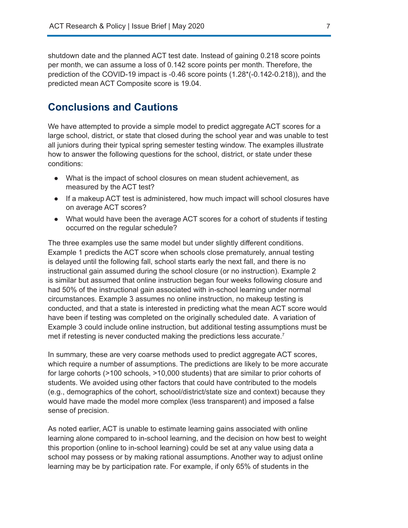shutdown date and the planned ACT test date. Instead of gaining 0.218 score points per month, we can assume a loss of 0.142 score points per month. Therefore, the prediction of the COVID-19 impact is -0.46 score points (1.28\*(-0.142-0.218)), and the predicted mean ACT Composite score is 19.04.

### **Conclusions and Cautions**

We have attempted to provide a simple model to predict aggregate ACT scores for a large school, district, or state that closed during the school year and was unable to test all juniors during their typical spring semester testing window. The examples illustrate how to answer the following questions for the school, district, or state under these conditions:

- What is the impact of school closures on mean student achievement, as measured by the ACT test?
- If a makeup ACT test is administered, how much impact will school closures have on average ACT scores?
- What would have been the average ACT scores for a cohort of students if testing occurred on the regular schedule?

The three examples use the same model but under slightly different conditions. Example 1 predicts the ACT score when schools close prematurely, annual testing is delayed until the following fall, school starts early the next fall, and there is no instructional gain assumed during the school closure (or no instruction). Example 2 is similar but assumed that online instruction began four weeks following closure and had 50% of the instructional gain associated with in-school learning under normal circumstances. Example 3 assumes no online instruction, no makeup testing is conducted, and that a state is interested in predicting what the mean ACT score would have been if testing was completed on the originally scheduled date. A variation of Example 3 could include online instruction, but additional testing assumptions must be met if retesting is never conducted making the predictions less accurate.<sup>7</sup>

In summary, these are very coarse methods used to predict aggregate ACT scores, which require a number of assumptions. The predictions are likely to be more accurate for large cohorts (>100 schools, >10,000 students) that are similar to prior cohorts of students. We avoided using other factors that could have contributed to the models (e.g., demographics of the cohort, school/district/state size and context) because they would have made the model more complex (less transparent) and imposed a false sense of precision.

As noted earlier, ACT is unable to estimate learning gains associated with online learning alone compared to in-school learning, and the decision on how best to weight this proportion (online to in-school learning) could be set at any value using data a school may possess or by making rational assumptions. Another way to adjust online learning may be by participation rate. For example, if only 65% of students in the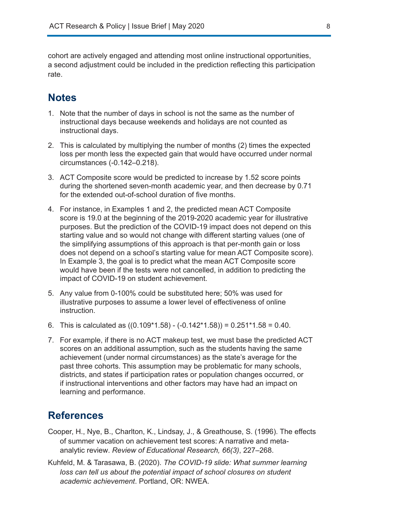cohort are actively engaged and attending most online instructional opportunities, a second adjustment could be included in the prediction reflecting this participation rate.

### **Notes**

- 1. Note that the number of days in school is not the same as the number of instructional days because weekends and holidays are not counted as instructional days.
- 2. This is calculated by multiplying the number of months (2) times the expected loss per month less the expected gain that would have occurred under normal circumstances (-0.142–0.218).
- 3. ACT Composite score would be predicted to increase by 1.52 score points during the shortened seven-month academic year, and then decrease by 0.71 for the extended out-of-school duration of five months.
- 4. For instance, in Examples 1 and 2, the predicted mean ACT Composite score is 19.0 at the beginning of the 2019-2020 academic year for illustrative purposes. But the prediction of the COVID-19 impact does not depend on this starting value and so would not change with different starting values (one of the simplifying assumptions of this approach is that per-month gain or loss does not depend on a school's starting value for mean ACT Composite score). In Example 3, the goal is to predict what the mean ACT Composite score would have been if the tests were not cancelled, in addition to predicting the impact of COVID-19 on student achievement.
- 5. Any value from 0-100% could be substituted here; 50% was used for illustrative purposes to assume a lower level of effectiveness of online instruction.
- 6. This is calculated as  $((0.109*1.58) (-0.142*1.58)) = 0.251*1.58 = 0.40$ .
- 7. For example, if there is no ACT makeup test, we must base the predicted ACT scores on an additional assumption, such as the students having the same achievement (under normal circumstances) as the state's average for the past three cohorts. This assumption may be problematic for many schools, districts, and states if participation rates or population changes occurred, or if instructional interventions and other factors may have had an impact on learning and performance.

### **References**

- Cooper, H., Nye, B., Charlton, K., Lindsay, J., & Greathouse, S. (1996). The effects of summer vacation on achievement test scores: A narrative and metaanalytic review. *Review of Educational Research, 66(3)*, 227–268.
- Kuhfeld, M. & Tarasawa, B. (2020). *The COVID-19 slide: What summer learning*  loss can tell us about the potential impact of school closures on student *academic achievement*. Portland, OR: NWEA.